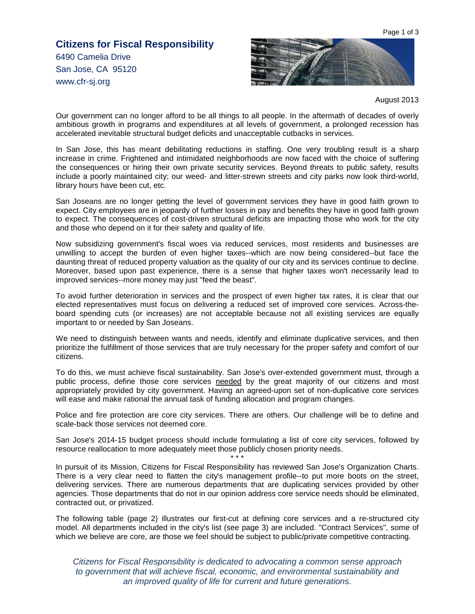Page 1 of 3

## **Citizens for Fiscal Responsibility**  6490 Camelia Drive San Jose, CA 95120 www.cfr-sj.org



August 2013

Our government can no longer afford to be all things to all people. In the aftermath of decades of overly ambitious growth in programs and expenditures at all levels of government, a prolonged recession has accelerated inevitable structural budget deficits and unacceptable cutbacks in services.

In San Jose, this has meant debilitating reductions in staffing. One very troubling result is a sharp increase in crime. Frightened and intimidated neighborhoods are now faced with the choice of suffering the consequences or hiring their own private security services. Beyond threats to public safety, results include a poorly maintained city; our weed- and litter-strewn streets and city parks now look third-world, library hours have been cut, etc.

San Joseans are no longer getting the level of government services they have in good faith grown to expect. City employees are in jeopardy of further losses in pay and benefits they have in good faith grown to expect. The consequences of cost-driven structural deficits are impacting those who work for the city and those who depend on it for their safety and quality of life.

Now subsidizing government's fiscal woes via reduced services, most residents and businesses are unwilling to accept the burden of even higher taxes--which are now being considered--but face the daunting threat of reduced property valuation as the quality of our city and its services continue to decline. Moreover, based upon past experience, there is a sense that higher taxes won't necessarily lead to improved services--more money may just "feed the beast".

To avoid further deterioration in services and the prospect of even higher tax rates, it is clear that our elected representatives must focus on delivering a reduced set of improved core services. Across-theboard spending cuts (or increases) are not acceptable because not all existing services are equally important to or needed by San Joseans.

We need to distinguish between wants and needs, identify and eliminate duplicative services, and then prioritize the fulfillment of those services that are truly necessary for the proper safety and comfort of our citizens.

To do this, we must achieve fiscal sustainability. San Jose's over-extended government must, through a public process, define those core services needed by the great majority of our citizens and most appropriately provided by city government. Having an agreed-upon set of non-duplicative core services will ease and make rational the annual task of funding allocation and program changes.

Police and fire protection are core city services. There are others. Our challenge will be to define and scale-back those services not deemed core.

San Jose's 2014-15 budget process should include formulating a list of core city services, followed by resource reallocation to more adequately meet those publicly chosen priority needs. \* \* \*

In pursuit of its Mission, Citizens for Fiscal Responsibility has reviewed San Jose's Organization Charts. There is a very clear need to flatten the city's management profile--to put more boots on the street, delivering services. There are numerous departments that are duplicating services provided by other agencies. Those departments that do not in our opinion address core service needs should be eliminated, contracted out, or privatized.

The following table (page 2) illustrates our first-cut at defining core services and a re-structured city model. All departments included in the city's list (see page 3) are included. "Contract Services", some of which we believe are core, are those we feel should be subject to public/private competitive contracting.

Citizens for Fiscal Responsibility is dedicated to advocating a common sense approach to government that will achieve fiscal, economic, and environmental sustainability and an improved quality of life for current and future generations.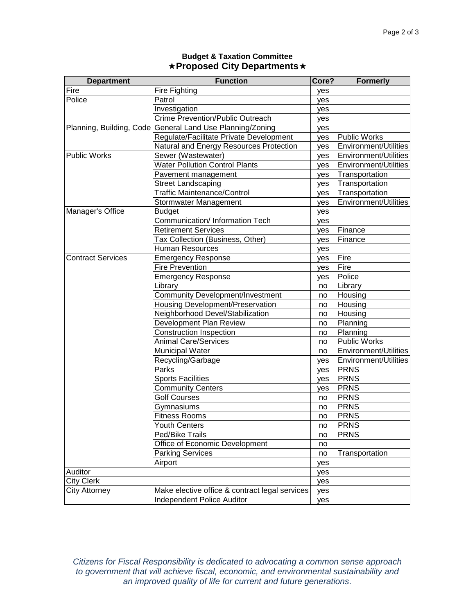| <b>Department</b>        | <b>Function</b>                                           | Core? | <b>Formerly</b>              |
|--------------------------|-----------------------------------------------------------|-------|------------------------------|
| Fire                     | Fire Fighting                                             | yes   |                              |
| Police                   | Patrol                                                    | yes   |                              |
|                          | Investigation                                             | yes   |                              |
|                          | <b>Crime Prevention/Public Outreach</b>                   | yes   |                              |
|                          | Planning, Building, Code General Land Use Planning/Zoning | yes   |                              |
|                          | Regulate/Facilitate Private Development                   | yes   | Public Works                 |
|                          | Natural and Energy Resources Protection                   | yes   | <b>Environment/Utilities</b> |
| <b>Public Works</b>      | Sewer (Wastewater)                                        | yes   | Environment/Utilities        |
|                          | <b>Water Pollution Control Plants</b>                     | yes   | <b>Environment/Utilities</b> |
|                          | Pavement management                                       | yes   | Transportation               |
|                          | <b>Street Landscaping</b>                                 | yes   | Transportation               |
|                          | <b>Traffic Maintenance/Control</b>                        | yes   | Transportation               |
|                          | Stormwater Management                                     | yes   | <b>Environment/Utilities</b> |
| Manager's Office         | <b>Budget</b>                                             | yes   |                              |
|                          | Communication/ Information Tech                           | yes   |                              |
|                          | <b>Retirement Services</b>                                | yes   | Finance                      |
|                          | Tax Collection (Business, Other)                          | yes   | Finance                      |
|                          | <b>Human Resources</b>                                    | yes   |                              |
| <b>Contract Services</b> | <b>Emergency Response</b>                                 | yes   | Fire                         |
|                          | <b>Fire Prevention</b>                                    | yes   | Fire                         |
|                          | <b>Emergency Response</b>                                 | yes   | Police                       |
|                          | Library                                                   | no    | Library                      |
|                          | <b>Community Development/Investment</b>                   | no    | Housing                      |
|                          | Housing Development/Preservation                          | no    | Housing                      |
|                          | Neighborhood Devel/Stabilization                          | no    | Housing                      |
|                          | Development Plan Review                                   | no    | Planning                     |
|                          | <b>Construction Inspection</b>                            | no    | Planning                     |
|                          | <b>Animal Care/Services</b>                               | no    | Public Works                 |
|                          | <b>Municipal Water</b>                                    | no    | Environment/Utilities        |
|                          | Recycling/Garbage                                         | yes   | Environment/Utilities        |
|                          | Parks                                                     | yes   | <b>PRNS</b>                  |
|                          | <b>Sports Facilities</b>                                  | yes   | <b>PRNS</b>                  |
|                          | <b>Community Centers</b>                                  | yes   | <b>PRNS</b>                  |
|                          | <b>Golf Courses</b>                                       | no    | <b>PRNS</b>                  |
|                          | Gymnasiums                                                | no    | <b>PRNS</b>                  |
|                          | <b>Fitness Rooms</b>                                      | no    | <b>PRNS</b>                  |
|                          | <b>Youth Centers</b>                                      | no    | <b>PRNS</b>                  |
|                          | Ped/Bike Trails                                           | no    | <b>PRNS</b>                  |
|                          | Office of Economic Development                            | no    |                              |
|                          | <b>Parking Services</b>                                   | no    | Transportation               |
|                          | Airport                                                   | yes   |                              |
| Auditor                  |                                                           | yes   |                              |
| <b>City Clerk</b>        |                                                           | yes   |                              |
| City Attorney            | Make elective office & contract legal services            | yes   |                              |
|                          | Independent Police Auditor                                | yes   |                              |

## **Budget & Taxation Committee Proposed City Departments**

Citizens for Fiscal Responsibility is dedicated to advocating a common sense approach to government that will achieve fiscal, economic, and environmental sustainability and an improved quality of life for current and future generations.